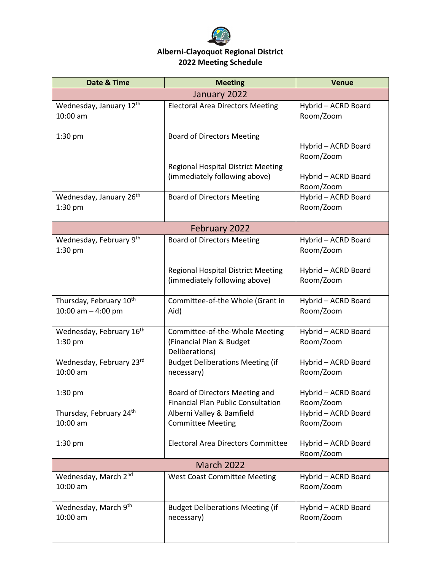

## **Alberni-Clayoquot Regional District 2022 Meeting Schedule**

| Date & Time                                                 | <b>Meeting</b>                                                               | <b>Venue</b>                     |  |  |
|-------------------------------------------------------------|------------------------------------------------------------------------------|----------------------------------|--|--|
| January 2022                                                |                                                                              |                                  |  |  |
| Wednesday, January 12th<br>10:00 am                         | <b>Electoral Area Directors Meeting</b>                                      | Hybrid - ACRD Board<br>Room/Zoom |  |  |
| $1:30$ pm                                                   | <b>Board of Directors Meeting</b>                                            | Hybrid - ACRD Board<br>Room/Zoom |  |  |
|                                                             | <b>Regional Hospital District Meeting</b><br>(immediately following above)   | Hybrid - ACRD Board<br>Room/Zoom |  |  |
| Wednesday, January 26 <sup>th</sup><br>1:30 pm              | <b>Board of Directors Meeting</b>                                            | Hybrid - ACRD Board<br>Room/Zoom |  |  |
|                                                             | February 2022                                                                |                                  |  |  |
| Wednesday, February 9th<br>$1:30$ pm                        | <b>Board of Directors Meeting</b>                                            | Hybrid - ACRD Board<br>Room/Zoom |  |  |
|                                                             | <b>Regional Hospital District Meeting</b><br>(immediately following above)   | Hybrid - ACRD Board<br>Room/Zoom |  |  |
| Thursday, February 10 <sup>th</sup><br>10:00 am $-$ 4:00 pm | Committee-of-the Whole (Grant in<br>Aid)                                     | Hybrid - ACRD Board<br>Room/Zoom |  |  |
| Wednesday, February 16th<br>1:30 pm                         | Committee-of-the-Whole Meeting<br>(Financial Plan & Budget<br>Deliberations) | Hybrid - ACRD Board<br>Room/Zoom |  |  |
| Wednesday, February 23rd<br>10:00 am                        | <b>Budget Deliberations Meeting (if</b><br>necessary)                        | Hybrid - ACRD Board<br>Room/Zoom |  |  |
| $1:30$ pm                                                   | Board of Directors Meeting and<br><b>Financial Plan Public Consultation</b>  | Hybrid - ACRD Board<br>Room/Zoom |  |  |
| Thursday, February 24th<br>10:00 am                         | Alberni Valley & Bamfield<br><b>Committee Meeting</b>                        | Hybrid - ACRD Board<br>Room/Zoom |  |  |
| $1:30$ pm                                                   | <b>Electoral Area Directors Committee</b>                                    | Hybrid - ACRD Board<br>Room/Zoom |  |  |
| <b>March 2022</b>                                           |                                                                              |                                  |  |  |
| Wednesday, March 2nd<br>10:00 am                            | <b>West Coast Committee Meeting</b>                                          | Hybrid - ACRD Board<br>Room/Zoom |  |  |
| Wednesday, March 9th<br>10:00 am                            | <b>Budget Deliberations Meeting (if</b><br>necessary)                        | Hybrid - ACRD Board<br>Room/Zoom |  |  |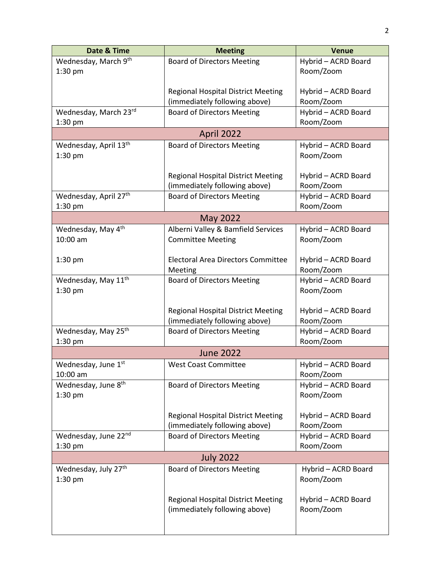| Date & Time                       | <b>Meeting</b>                            | <b>Venue</b>        |  |  |
|-----------------------------------|-------------------------------------------|---------------------|--|--|
| Wednesday, March 9th              | <b>Board of Directors Meeting</b>         | Hybrid - ACRD Board |  |  |
| $1:30$ pm                         |                                           | Room/Zoom           |  |  |
|                                   |                                           |                     |  |  |
|                                   | <b>Regional Hospital District Meeting</b> | Hybrid - ACRD Board |  |  |
|                                   | (immediately following above)             | Room/Zoom           |  |  |
| Wednesday, March 23rd             | <b>Board of Directors Meeting</b>         | Hybrid - ACRD Board |  |  |
| $1:30$ pm                         |                                           | Room/Zoom           |  |  |
|                                   | April 2022                                |                     |  |  |
| Wednesday, April 13th             | <b>Board of Directors Meeting</b>         | Hybrid - ACRD Board |  |  |
| 1:30 pm                           |                                           | Room/Zoom           |  |  |
|                                   | <b>Regional Hospital District Meeting</b> | Hybrid - ACRD Board |  |  |
|                                   | (immediately following above)             | Room/Zoom           |  |  |
| Wednesday, April 27 <sup>th</sup> | <b>Board of Directors Meeting</b>         | Hybrid - ACRD Board |  |  |
| 1:30 pm                           |                                           | Room/Zoom           |  |  |
| <b>May 2022</b>                   |                                           |                     |  |  |
| Wednesday, May 4th                | Alberni Valley & Bamfield Services        | Hybrid - ACRD Board |  |  |
| 10:00 am                          | <b>Committee Meeting</b>                  | Room/Zoom           |  |  |
|                                   |                                           |                     |  |  |
| $1:30$ pm                         | <b>Electoral Area Directors Committee</b> | Hybrid - ACRD Board |  |  |
|                                   | Meeting                                   | Room/Zoom           |  |  |
| Wednesday, May 11 <sup>th</sup>   | <b>Board of Directors Meeting</b>         | Hybrid - ACRD Board |  |  |
| 1:30 pm                           |                                           | Room/Zoom           |  |  |
|                                   |                                           |                     |  |  |
|                                   | <b>Regional Hospital District Meeting</b> | Hybrid - ACRD Board |  |  |
|                                   | (immediately following above)             | Room/Zoom           |  |  |
| Wednesday, May 25th               | <b>Board of Directors Meeting</b>         | Hybrid - ACRD Board |  |  |
| 1:30 pm                           |                                           | Room/Zoom           |  |  |
|                                   | <b>June 2022</b>                          |                     |  |  |
| Wednesday, June 1st               | <b>West Coast Committee</b>               | Hybrid - ACRD Board |  |  |
| 10:00 am                          |                                           | Room/Zoom           |  |  |
| Wednesday, June 8 <sup>th</sup>   | <b>Board of Directors Meeting</b>         | Hybrid - ACRD Board |  |  |
| 1:30 pm                           |                                           | Room/Zoom           |  |  |
|                                   | <b>Regional Hospital District Meeting</b> | Hybrid - ACRD Board |  |  |
|                                   | (immediately following above)             | Room/Zoom           |  |  |
| Wednesday, June 22nd              | <b>Board of Directors Meeting</b>         | Hybrid - ACRD Board |  |  |
| $1:30$ pm                         |                                           | Room/Zoom           |  |  |
|                                   | <b>July 2022</b>                          |                     |  |  |
| Wednesday, July 27th              | <b>Board of Directors Meeting</b>         | Hybrid - ACRD Board |  |  |
| 1:30 pm                           |                                           | Room/Zoom           |  |  |
|                                   |                                           |                     |  |  |
|                                   | <b>Regional Hospital District Meeting</b> | Hybrid - ACRD Board |  |  |
|                                   | (immediately following above)             | Room/Zoom           |  |  |
|                                   |                                           |                     |  |  |
|                                   |                                           |                     |  |  |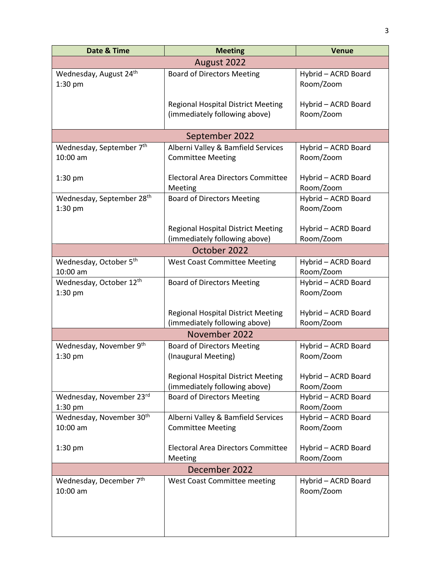| Date & Time                                      | <b>Meeting</b>                                                             | <b>Venue</b>                     |  |  |
|--------------------------------------------------|----------------------------------------------------------------------------|----------------------------------|--|--|
| August 2022                                      |                                                                            |                                  |  |  |
| Wednesday, August 24 <sup>th</sup><br>1:30 pm    | <b>Board of Directors Meeting</b>                                          | Hybrid - ACRD Board<br>Room/Zoom |  |  |
|                                                  | <b>Regional Hospital District Meeting</b><br>(immediately following above) | Hybrid - ACRD Board<br>Room/Zoom |  |  |
|                                                  |                                                                            |                                  |  |  |
|                                                  | September 2022<br>Alberni Valley & Bamfield Services                       | Hybrid - ACRD Board              |  |  |
| Wednesday, September 7th<br>10:00 am             | <b>Committee Meeting</b>                                                   | Room/Zoom                        |  |  |
| $1:30$ pm                                        | Electoral Area Directors Committee<br>Meeting                              | Hybrid - ACRD Board<br>Room/Zoom |  |  |
| Wednesday, September 28th<br>$1:30$ pm           | <b>Board of Directors Meeting</b>                                          | Hybrid - ACRD Board<br>Room/Zoom |  |  |
|                                                  | <b>Regional Hospital District Meeting</b><br>(immediately following above) | Hybrid - ACRD Board<br>Room/Zoom |  |  |
| October 2022                                     |                                                                            |                                  |  |  |
| Wednesday, October 5th<br>10:00 am               | <b>West Coast Committee Meeting</b>                                        | Hybrid - ACRD Board<br>Room/Zoom |  |  |
| Wednesday, October 12th<br>$1:30$ pm             | <b>Board of Directors Meeting</b>                                          | Hybrid - ACRD Board<br>Room/Zoom |  |  |
|                                                  | <b>Regional Hospital District Meeting</b><br>(immediately following above) | Hybrid - ACRD Board<br>Room/Zoom |  |  |
|                                                  | November 2022                                                              |                                  |  |  |
| Wednesday, November 9th                          | <b>Board of Directors Meeting</b>                                          | Hybrid - ACRD Board              |  |  |
| 1:30 pm                                          | (Inaugural Meeting)                                                        | Room/Zoom                        |  |  |
|                                                  | <b>Regional Hospital District Meeting</b><br>(immediately following above) | Hybrid - ACRD Board<br>Room/Zoom |  |  |
| Wednesday, November 23rd<br>$1:30$ pm            | <b>Board of Directors Meeting</b>                                          | Hybrid - ACRD Board<br>Room/Zoom |  |  |
| Wednesday, November 30 <sup>th</sup><br>10:00 am | Alberni Valley & Bamfield Services<br><b>Committee Meeting</b>             | Hybrid - ACRD Board<br>Room/Zoom |  |  |
| $1:30$ pm                                        | <b>Electoral Area Directors Committee</b><br>Meeting                       | Hybrid - ACRD Board<br>Room/Zoom |  |  |
| December 2022                                    |                                                                            |                                  |  |  |
| Wednesday, December 7th<br>10:00 am              | <b>West Coast Committee meeting</b>                                        | Hybrid - ACRD Board<br>Room/Zoom |  |  |